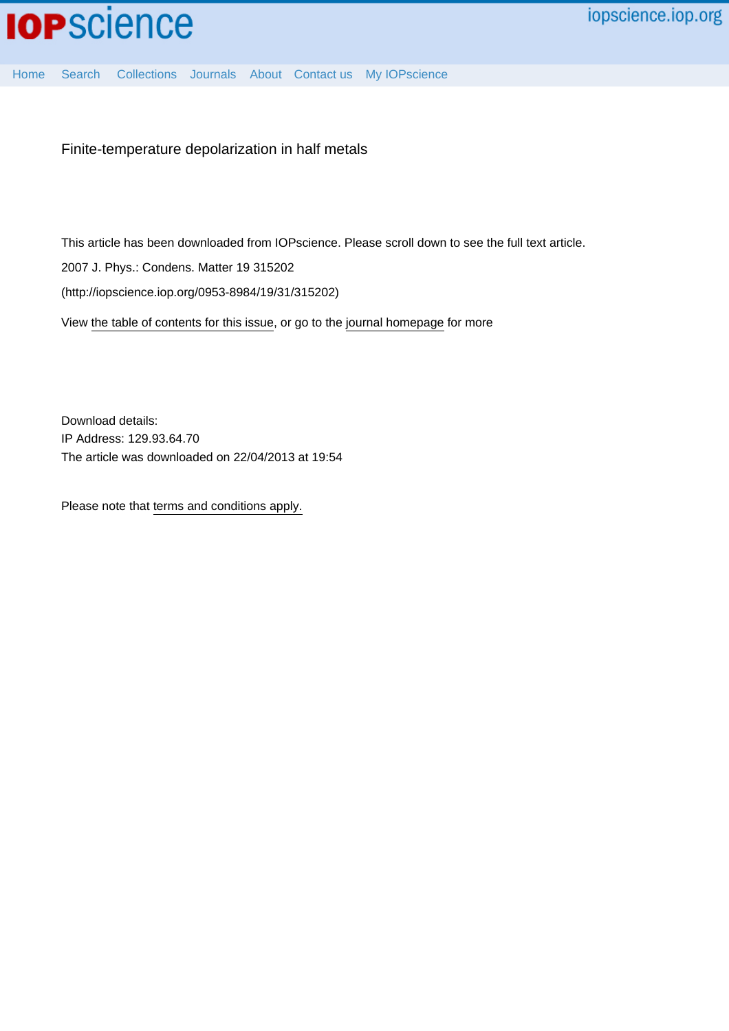

[Home](http://iopscience.iop.org/) [Search](http://iopscience.iop.org/search) [Collections](http://iopscience.iop.org/collections) [Journals](http://iopscience.iop.org/journals) [About](http://iopscience.iop.org/page/aboutioppublishing) [Contact us](http://iopscience.iop.org/contact) [My IOPscience](http://iopscience.iop.org/myiopscience)

Finite-temperature depolarization in half metals

This article has been downloaded from IOPscience. Please scroll down to see the full text article.

2007 J. Phys.: Condens. Matter 19 315202

(http://iopscience.iop.org/0953-8984/19/31/315202)

View [the table of contents for this issue](http://iopscience.iop.org/0953-8984/19/31), or go to the [journal homepage](http://iopscience.iop.org/0953-8984) for more

Download details: IP Address: 129.93.64.70 The article was downloaded on 22/04/2013 at 19:54

Please note that [terms and conditions apply.](http://iopscience.iop.org/page/terms)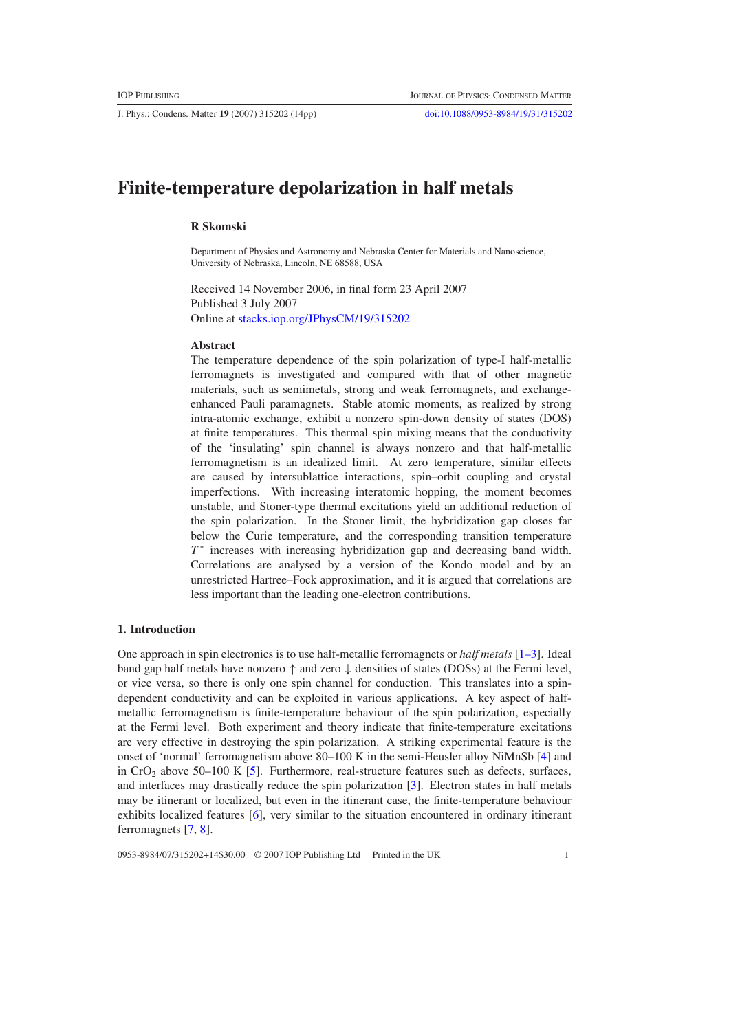J. Phys.: Condens. Matter **19** (2007) 315202 (14pp) [doi:10.1088/0953-8984/19/31/315202](http://dx.doi.org/10.1088/0953-8984/19/31/315202)

# **Finite-temperature depolarization in half metals**

# **R Skomski**

Department of Physics and Astronomy and Nebraska Center for Materials and Nanoscience, University of Nebraska, Lincoln, NE 68588, USA

Received 14 November 2006, in final form 23 April 2007 Published 3 July 2007 Online at [stacks.iop.org/JPhysCM/19/315202](http://stacks.iop.org/JPhysCM/19/315202)

### **Abstract**

The temperature dependence of the spin polarization of type-I half-metallic ferromagnets is investigated and compared with that of other magnetic materials, such as semimetals, strong and weak ferromagnets, and exchangeenhanced Pauli paramagnets. Stable atomic moments, as realized by strong intra-atomic exchange, exhibit a nonzero spin-down density of states (DOS) at finite temperatures. This thermal spin mixing means that the conductivity of the 'insulating' spin channel is always nonzero and that half-metallic ferromagnetism is an idealized limit. At zero temperature, similar effects are caused by intersublattice interactions, spin–orbit coupling and crystal imperfections. With increasing interatomic hopping, the moment becomes unstable, and Stoner-type thermal excitations yield an additional reduction of the spin polarization. In the Stoner limit, the hybridization gap closes far below the Curie temperature, and the corresponding transition temperature *T*<sup>\*</sup> increases with increasing hybridization gap and decreasing band width. Correlations are analysed by a version of the Kondo model and by an unrestricted Hartree–Fock approximation, and it is argued that correlations are less important than the leading one-electron contributions.

# **1. Introduction**

One approach in spin electronics is to use half-metallic ferromagnets or *half metals* [\[1–3\]](#page-14-0). Ideal band gap half metals have nonzero  $\uparrow$  and zero  $\downarrow$  densities of states (DOSs) at the Fermi level, or vice versa, so there is only one spin channel for conduction. This translates into a spindependent conductivity and can be exploited in various applications. A key aspect of halfmetallic ferromagnetism is finite-temperature behaviour of the spin polarization, especially at the Fermi level. Both experiment and theory indicate that finite-temperature excitations are very effective in destroying the spin polarization. A striking experimental feature is the onset of 'normal' ferromagnetism above 80–100 K in the semi-Heusler alloy NiMnSb [\[4\]](#page-14-1) and in  $CrO<sub>2</sub>$  above 50–100 K [\[5\]](#page-14-2). Furthermore, real-structure features such as defects, surfaces, and interfaces may drastically reduce the spin polarization [\[3\]](#page-14-3). Electron states in half metals may be itinerant or localized, but even in the itinerant case, the finite-temperature behaviour exhibits localized features [\[6\]](#page-14-4), very similar to the situation encountered in ordinary itinerant ferromagnets [\[7,](#page-14-5) [8\]](#page-14-6).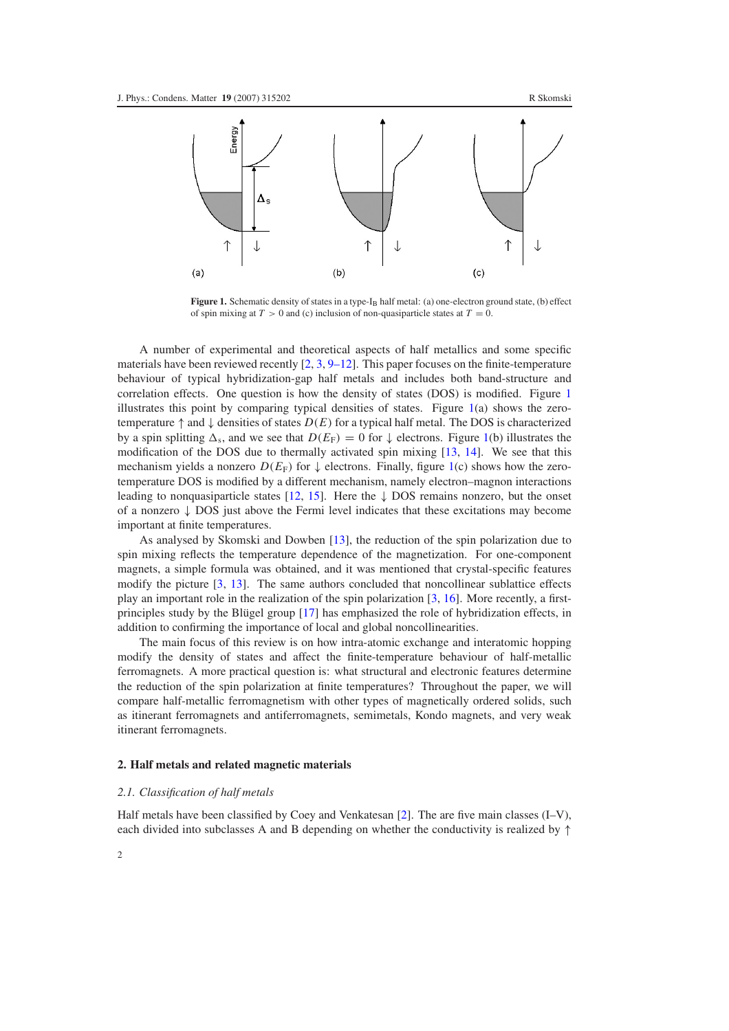<span id="page-2-0"></span>

Figure 1. Schematic density of states in a type-I<sub>B</sub> half metal: (a) one-electron ground state, (b) effect of spin mixing at  $T > 0$  and (c) inclusion of non-quasiparticle states at  $T = 0$ .

A number of experimental and theoretical aspects of half metallics and some specific materials have been reviewed recently [\[2,](#page-14-7) [3,](#page-14-3) [9–12\]](#page-14-8). This paper focuses on the finite-temperature behaviour of typical hybridization-gap half metals and includes both band-structure and correlation effects. One question is how the density of states (DOS) is modified. Figure [1](#page-2-0) illustrates this point by comparing typical densities of states. Figure [1\(](#page-2-0)a) shows the zerotemperature ↑ and ↓ densities of states *D*(*E*) for a typical half metal. The DOS is characterized by a spin splitting  $\Delta_s$ , and we see that  $D(E_F) = 0$  for  $\downarrow$  electrons. Figure [1\(](#page-2-0)b) illustrates the modification of the DOS due to thermally activated spin mixing [\[13,](#page-14-9) [14\]](#page-14-10). We see that this mechanism yields a nonzero  $D(E_F)$  for  $\downarrow$  electrons. Finally, figure [1\(](#page-2-0)c) shows how the zerotemperature DOS is modified by a different mechanism, namely electron–magnon interactions leading to nonquasiparticle states [\[12,](#page-14-11) [15\]](#page-14-12). Here the  $\downarrow$  DOS remains nonzero, but the onset of a nonzero  $\downarrow$  DOS just above the Fermi level indicates that these excitations may become important at finite temperatures.

As analysed by Skomski and Dowben [\[13\]](#page-14-9), the reduction of the spin polarization due to spin mixing reflects the temperature dependence of the magnetization. For one-component magnets, a simple formula was obtained, and it was mentioned that crystal-specific features modify the picture [\[3,](#page-14-3) [13\]](#page-14-9). The same authors concluded that noncollinear sublattice effects play an important role in the realization of the spin polarization [\[3,](#page-14-3) [16\]](#page-14-13). More recently, a first-principles study by the Blügel group [\[17\]](#page-14-14) has emphasized the role of hybridization effects, in addition to confirming the importance of local and global noncollinearities.

<span id="page-2-1"></span>The main focus of this review is on how intra-atomic exchange and interatomic hopping modify the density of states and affect the finite-temperature behaviour of half-metallic ferromagnets. A more practical question is: what structural and electronic features determine the reduction of the spin polarization at finite temperatures? Throughout the paper, we will compare half-metallic ferromagnetism with other types of magnetically ordered solids, such as itinerant ferromagnets and antiferromagnets, semimetals, Kondo magnets, and very weak itinerant ferromagnets.

### **2. Half metals and related magnetic materials**

#### *2.1. Classification of half metals*

Half metals have been classified by Coey and Venkatesan  $[2]$ . The are five main classes  $(I-V)$ , each divided into subclasses A and B depending on whether the conductivity is realized by  $\uparrow$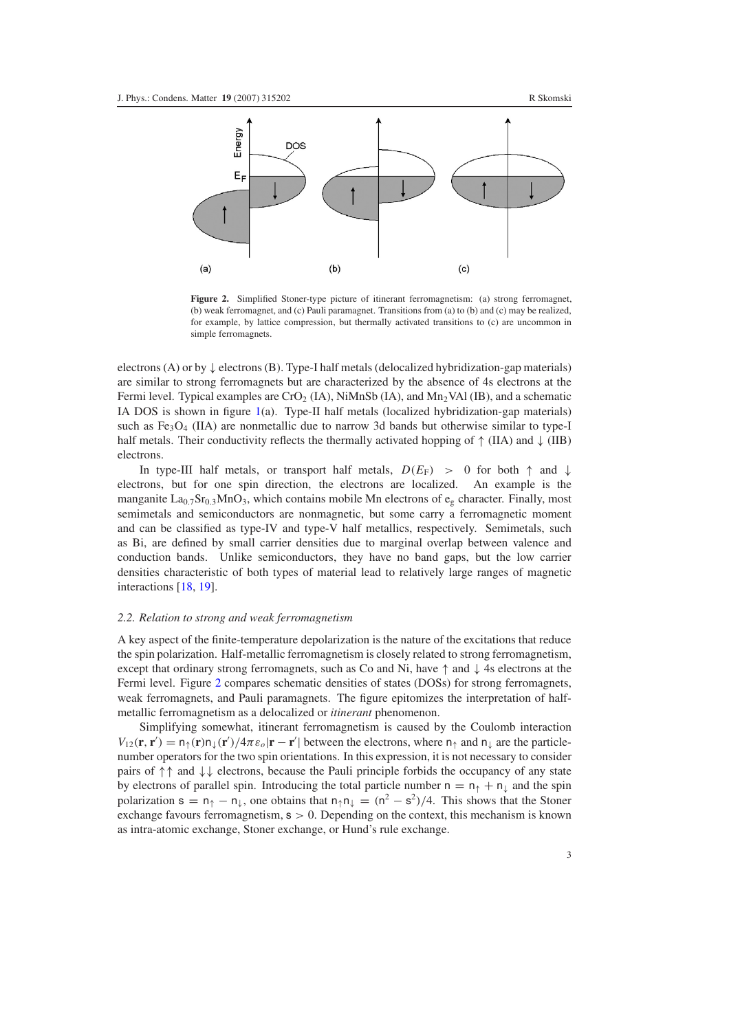<span id="page-3-0"></span>

Figure 2. Simplified Stoner-type picture of itinerant ferromagnetism: (a) strong ferromagnet, (b) weak ferromagnet, and (c) Pauli paramagnet. Transitions from (a) to (b) and (c) may be realized, for example, by lattice compression, but thermally activated transitions to (c) are uncommon in simple ferromagnets.

electrons (A) or by  $\downarrow$  electrons (B). Type-I half metals (delocalized hybridization-gap materials) are similar to strong ferromagnets but are characterized by the absence of 4s electrons at the Fermi level. Typical examples are  $CrO_2$  (IA), NiMnSb (IA), and Mn<sub>2</sub>VAl (IB), and a schematic IA DOS is shown in figure  $1(a)$  $1(a)$ . Type-II half metals (localized hybridization-gap materials) such as  $Fe<sub>3</sub>O<sub>4</sub>$  (IIA) are nonmetallic due to narrow 3d bands but otherwise similar to type-I half metals. Their conductivity reflects the thermally activated hopping of  $\uparrow$  (IIA) and  $\downarrow$  (IIB) electrons.

In type-III half metals, or transport half metals,  $D(E_F) > 0$  for both  $\uparrow$  and  $\downarrow$ electrons, but for one spin direction, the electrons are localized. An example is the manganite  $La_{0.7}Sr_{0.3}MnO_3$ , which contains mobile Mn electrons of  $e_g$  character. Finally, most semimetals and semiconductors are nonmagnetic, but some carry a ferromagnetic moment and can be classified as type-IV and type-V half metallics, respectively. Semimetals, such as Bi, are defined by small carrier densities due to marginal overlap between valence and conduction bands. Unlike semiconductors, they have no band gaps, but the low carrier densities characteristic of both types of material lead to relatively large ranges of magnetic interactions [\[18,](#page-14-15) [19\]](#page-14-16).

#### *2.2. Relation to strong and weak ferromagnetism*

A key aspect of the finite-temperature depolarization is the nature of the excitations that reduce the spin polarization. Half-metallic ferromagnetism is closely related to strong ferromagnetism, except that ordinary strong ferromagnets, such as Co and Ni, have  $\uparrow$  and  $\downarrow$  4s electrons at the Fermi level. Figure [2](#page-3-0) compares schematic densities of states (DOSs) for strong ferromagnets, weak ferromagnets, and Pauli paramagnets. The figure epitomizes the interpretation of halfmetallic ferromagnetism as a delocalized or *itinerant* phenomenon.

Simplifying somewhat, itinerant ferromagnetism is caused by the Coulomb interaction  $V_{12}(\mathbf{r}, \mathbf{r}') = n_{\uparrow}(\mathbf{r})n_{\downarrow}(\mathbf{r}')/4\pi\varepsilon_o|\mathbf{r} - \mathbf{r}'|$  between the electrons, where  $n_{\uparrow}$  and  $n_{\downarrow}$  are the particlenumber operators for the two spin orientations. In this expression, it is not necessary to consider pairs of ↑↑ and ↓↓ electrons, because the Pauli principle forbids the occupancy of any state by electrons of parallel spin. Introducing the total particle number  $n = n_{\uparrow} + n_{\downarrow}$  and the spin polarization  $s = n_+ - n_+$ , one obtains that  $n_+ n_+ = (n^2 - s^2)/4$ . This shows that the Stoner exchange favours ferromagnetism,  $s > 0$ . Depending on the context, this mechanism is known as intra-atomic exchange, Stoner exchange, or Hund's rule exchange.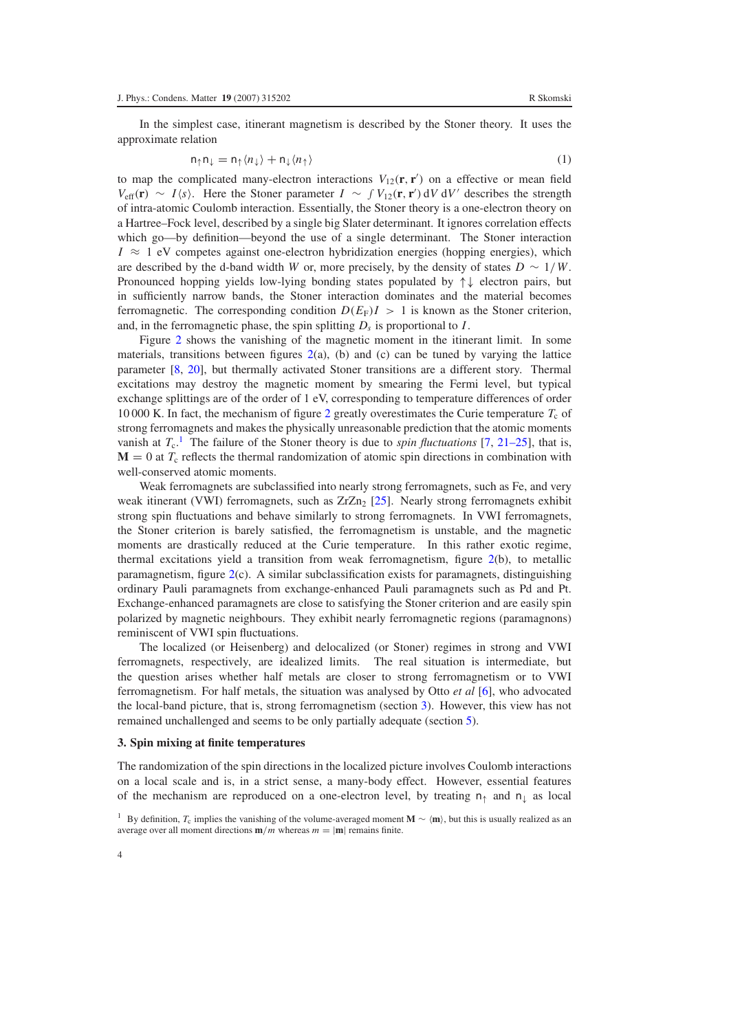<span id="page-4-2"></span>In the simplest case, itinerant magnetism is described by the Stoner theory. It uses the approximate relation

$$
n_{\uparrow}n_{\downarrow} = n_{\uparrow} \langle n_{\downarrow} \rangle + n_{\downarrow} \langle n_{\uparrow} \rangle \tag{1}
$$

to map the complicated many-electron interactions  $V_{12}(\mathbf{r}, \mathbf{r}')$  on a effective or mean field *V*<sub>eff</sub>(**r**) ∼ *I*/*s*). Here the Stoner parameter *I* ∼ *f V*<sub>12</sub>(**r**, **r**<sup>'</sup>) d*V* d*V*<sup>'</sup> describes the strength of intra-atomic Coulomb interaction. Essentially, the Stoner theory is a one-electron theory on a Hartree–Fock level, described by a single big Slater determinant. It ignores correlation effects which go—by definition—beyond the use of a single determinant. The Stoner interaction  $I \approx 1$  eV competes against one-electron hybridization energies (hopping energies), which are described by the d-band width *W* or, more precisely, by the density of states  $D \sim 1/W$ . Pronounced hopping yields low-lying bonding states populated by ↑↓ electron pairs, but in sufficiently narrow bands, the Stoner interaction dominates and the material becomes ferromagnetic. The corresponding condition  $D(E_F)I > 1$  is known as the Stoner criterion, and, in the ferromagnetic phase, the spin splitting  $D_s$  is proportional to  $I$ .

Figure [2](#page-3-0) shows the vanishing of the magnetic moment in the itinerant limit. In some materials, transitions between figures  $2(a)$  $2(a)$ , (b) and (c) can be tuned by varying the lattice parameter [\[8,](#page-14-6) [20\]](#page-14-17), but thermally activated Stoner transitions are a different story. Thermal excitations may destroy the magnetic moment by smearing the Fermi level, but typical exchange splittings are of the order of 1 eV, corresponding to temperature differences of order 10 000 K. In fact, the mechanism of figure [2](#page-3-0) greatly overestimates the Curie temperature  $T_c$  of strong ferromagnets and makes the physically unreasonable prediction that the atomic moments vanish at  $T_c$ .<sup>[1](#page-4-0)</sup> The failure of the Stoner theory is due to *spin fluctuations* [\[7,](#page-14-5) [21–25\]](#page-14-18), that is,  **at**  $T_c$  **reflects the thermal randomization of atomic spin directions in combination with** well-conserved atomic moments.

Weak ferromagnets are subclassified into nearly strong ferromagnets, such as Fe, and very weak itinerant (VWI) ferromagnets, such as  $ZrZn<sub>2</sub>$  [\[25\]](#page-14-19). Nearly strong ferromagnets exhibit strong spin fluctuations and behave similarly to strong ferromagnets. In VWI ferromagnets, the Stoner criterion is barely satisfied, the ferromagnetism is unstable, and the magnetic moments are drastically reduced at the Curie temperature. In this rather exotic regime, thermal excitations yield a transition from weak ferromagnetism, figure [2\(](#page-3-0)b), to metallic paramagnetism, figure [2\(](#page-3-0)c). A similar subclassification exists for paramagnets, distinguishing ordinary Pauli paramagnets from exchange-enhanced Pauli paramagnets such as Pd and Pt. Exchange-enhanced paramagnets are close to satisfying the Stoner criterion and are easily spin polarized by magnetic neighbours. They exhibit nearly ferromagnetic regions (paramagnons) reminiscent of VWI spin fluctuations.

<span id="page-4-1"></span>The localized (or Heisenberg) and delocalized (or Stoner) regimes in strong and VWI ferromagnets, respectively, are idealized limits. The real situation is intermediate, but the question arises whether half metals are closer to strong ferromagnetism or to VWI ferromagnetism. For half metals, the situation was analysed by Otto *et al* [\[6\]](#page-14-4), who advocated the local-band picture, that is, strong ferromagnetism (section [3\)](#page-4-1). However, this view has not remained unchallenged and seems to be only partially adequate (section [5\)](#page-8-0).

### <span id="page-4-0"></span>**3. Spin mixing at finite temperatures**

The randomization of the spin directions in the localized picture involves Coulomb interactions on a local scale and is, in a strict sense, a many-body effect. However, essential features of the mechanism are reproduced on a one-electron level, by treating  $n_{\uparrow}$  and  $n_{\downarrow}$  as local

<sup>&</sup>lt;sup>1</sup> By definition, *T<sub>c</sub>* implies the vanishing of the volume-averaged moment **M** ∼  $\langle m \rangle$ , but this is usually realized as an average over all moment directions  $\mathbf{m}/m$  whereas  $m = |\mathbf{m}|$  remains finite.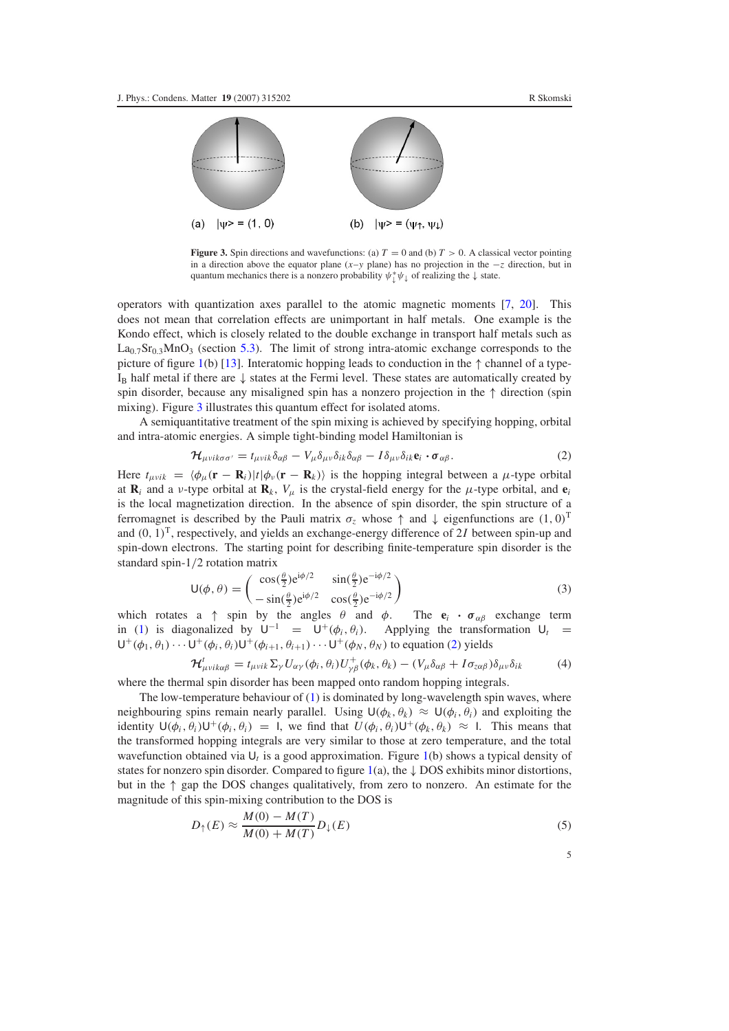<span id="page-5-0"></span>

**Figure 3.** Spin directions and wavefunctions: (a)  $T = 0$  and (b)  $T > 0$ . A classical vector pointing in a direction above the equator plane (*x*–*y* plane) has no projection in the −*z* direction, but in quantum mechanics there is a nonzero probability  $\psi^*_{\downarrow}\psi_{\downarrow}$  of realizing the  $\downarrow$  state.

operators with quantization axes parallel to the atomic magnetic moments [\[7,](#page-14-5) [20\]](#page-14-17). This does not mean that correlation effects are unimportant in half metals. One example is the Kondo effect, which is closely related to the double exchange in transport half metals such as  $La<sub>0.7</sub>Sr<sub>0.3</sub>MnO<sub>3</sub>$  (section [5.3\)](#page-10-0). The limit of strong intra-atomic exchange corresponds to the picture of figure [1\(](#page-2-0)b) [\[13\]](#page-14-9). Interatomic hopping leads to conduction in the  $\uparrow$  channel of a type- $I_B$  half metal if there are  $\downarrow$  states at the Fermi level. These states are automatically created by spin disorder, because any misaligned spin has a nonzero projection in the ↑ direction (spin mixing). Figure [3](#page-5-0) illustrates this quantum effect for isolated atoms.

<span id="page-5-1"></span>A semiquantitative treatment of the spin mixing is achieved by specifying hopping, orbital and intra-atomic energies. A simple tight-binding model Hamiltonian is

$$
\mathcal{H}_{\mu\nu i k\sigma\sigma'} = t_{\mu\nu i k} \delta_{\alpha\beta} - V_{\mu} \delta_{\mu\nu} \delta_{i k} \delta_{\alpha\beta} - I \delta_{\mu\nu} \delta_{i k} \mathbf{e}_i \cdot \boldsymbol{\sigma}_{\alpha\beta}.
$$
\n(2)

Here  $t_{\mu\nu i k} = \langle \phi_{\mu}(\mathbf{r} - \mathbf{R}_i) | t | \phi_{\nu}(\mathbf{r} - \mathbf{R}_k) \rangle$  is the hopping integral between a  $\mu$ -type orbital at  $\mathbf{R}_i$  and a *v*-type orbital at  $\mathbf{R}_k$ ,  $V_\mu$  is the crystal-field energy for the  $\mu$ -type orbital, and  $\mathbf{e}_i$ is the local magnetization direction. In the absence of spin disorder, the spin structure of a ferromagnet is described by the Pauli matrix  $\sigma_z$  whose  $\uparrow$  and  $\downarrow$  eigenfunctions are  $(1, 0)^T$ and  $(0, 1)^T$ , respectively, and yields an exchange-energy difference of 2*I* between spin-up and spin-down electrons. The starting point for describing finite-temperature spin disorder is the standard spin-1/2 rotation matrix

<span id="page-5-2"></span>
$$
\mathsf{U}(\phi,\theta) = \begin{pmatrix} \cos(\frac{\theta}{2})e^{i\phi/2} & \sin(\frac{\theta}{2})e^{-i\phi/2} \\ -\sin(\frac{\theta}{2})e^{i\phi/2} & \cos(\frac{\theta}{2})e^{-i\phi/2} \end{pmatrix}
$$
(3)

which rotates a  $\uparrow$  spin by the angles  $\theta$  and  $\phi$ . The  $\mathbf{e}_i \cdot \sigma_{\alpha\beta}$  exchange term in [\(1\)](#page-4-2) is diagonalized by  $U^{-1} = U^+(\phi_i, \theta_i)$ . Applying the transformation  $U_t =$  $U^+(\phi_1, \theta_1)\cdots U^+(\phi_i, \theta_i)U^+(\phi_{i+1}, \theta_{i+1})\cdots U^+(\phi_N, \theta_N)$  to equation [\(2\)](#page-5-1) yields

<span id="page-5-3"></span>
$$
\mathcal{H}^{t}_{\mu\nu i k \alpha \beta} = t_{\mu\nu i k} \Sigma_{\gamma} U_{\alpha \gamma} (\phi_i, \theta_i) U^{+}_{\gamma \beta} (\phi_k, \theta_k) - (V_{\mu} \delta_{\alpha \beta} + I \sigma_{z \alpha \beta}) \delta_{\mu\nu} \delta_{ik} \tag{4}
$$

where the thermal spin disorder has been mapped onto random hopping integrals.

The low-temperature behaviour of  $(1)$  is dominated by long-wavelength spin waves, where neighbouring spins remain nearly parallel. Using  $U(\phi_k, \theta_k) \approx U(\phi_i, \theta_i)$  and exploiting the identity  $U(\phi_i, \theta_i)U^+(\phi_i, \theta_i) = 1$ , we find that  $U(\phi_i, \theta_i)U^+(\phi_k, \theta_k) \approx 1$ . This means that the transformed hopping integrals are very similar to those at zero temperature, and the total wavefunction obtained via U*<sup>t</sup>* is a good approximation. Figure [1\(](#page-2-0)b) shows a typical density of states for nonzero spin disorder. Compared to figure [1\(](#page-2-0)a), the  $\downarrow$  DOS exhibits minor distortions, but in the ↑ gap the DOS changes qualitatively, from zero to nonzero. An estimate for the magnitude of this spin-mixing contribution to the DOS is

$$
D_{\uparrow}(E) \approx \frac{M(0) - M(T)}{M(0) + M(T)} D_{\downarrow}(E)
$$
\n(5)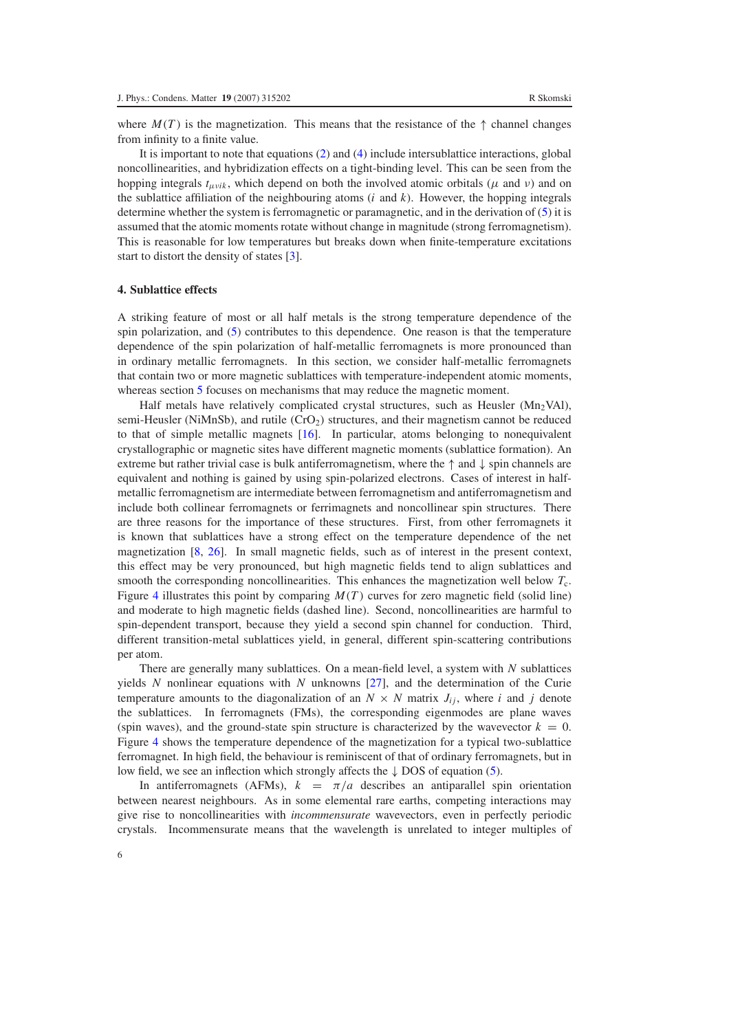where  $M(T)$  is the magnetization. This means that the resistance of the  $\uparrow$  channel changes from infinity to a finite value.

<span id="page-6-0"></span>It is important to note that equations [\(2\)](#page-5-1) and [\(4\)](#page-5-2) include intersublattice interactions, global noncollinearities, and hybridization effects on a tight-binding level. This can be seen from the hopping integrals  $t_{\mu\nu i k}$ , which depend on both the involved atomic orbitals ( $\mu$  and  $\nu$ ) and on the sublattice affiliation of the neighbouring atoms (*i* and *k*). However, the hopping integrals determine whether the system is ferromagnetic or paramagnetic, and in the derivation of [\(5\)](#page-5-3) it is assumed that the atomic moments rotate without change in magnitude (strong ferromagnetism). This is reasonable for low temperatures but breaks down when finite-temperature excitations start to distort the density of states [\[3\]](#page-14-3).

# **4. Sublattice effects**

A striking feature of most or all half metals is the strong temperature dependence of the spin polarization, and [\(5\)](#page-5-3) contributes to this dependence. One reason is that the temperature dependence of the spin polarization of half-metallic ferromagnets is more pronounced than in ordinary metallic ferromagnets. In this section, we consider half-metallic ferromagnets that contain two or more magnetic sublattices with temperature-independent atomic moments, whereas section [5](#page-8-0) focuses on mechanisms that may reduce the magnetic moment.

Half metals have relatively complicated crystal structures, such as Heusler ( $Mn<sub>2</sub>VAL$ ), semi-Heusler (NiMnSb), and rutile (CrO<sub>2</sub>) structures, and their magnetism cannot be reduced to that of simple metallic magnets [\[16\]](#page-14-13). In particular, atoms belonging to nonequivalent crystallographic or magnetic sites have different magnetic moments (sublattice formation). An extreme but rather trivial case is bulk antiferromagnetism, where the  $\uparrow$  and  $\downarrow$  spin channels are equivalent and nothing is gained by using spin-polarized electrons. Cases of interest in halfmetallic ferromagnetism are intermediate between ferromagnetism and antiferromagnetism and include both collinear ferromagnets or ferrimagnets and noncollinear spin structures. There are three reasons for the importance of these structures. First, from other ferromagnets it is known that sublattices have a strong effect on the temperature dependence of the net magnetization [\[8,](#page-14-6) [26\]](#page-14-20). In small magnetic fields, such as of interest in the present context, this effect may be very pronounced, but high magnetic fields tend to align sublattices and smooth the corresponding noncollinearities. This enhances the magnetization well below  $T_c$ . Figure [4](#page-7-0) illustrates this point by comparing  $M(T)$  curves for zero magnetic field (solid line) and moderate to high magnetic fields (dashed line). Second, noncollinearities are harmful to spin-dependent transport, because they yield a second spin channel for conduction. Third, different transition-metal sublattices yield, in general, different spin-scattering contributions per atom.

There are generally many sublattices. On a mean-field level, a system with *N* sublattices yields *N* nonlinear equations with *N* unknowns [\[27\]](#page-14-21), and the determination of the Curie temperature amounts to the diagonalization of an  $N \times N$  matrix  $J_{ij}$ , where *i* and *j* denote the sublattices. In ferromagnets (FMs), the corresponding eigenmodes are plane waves (spin waves), and the ground-state spin structure is characterized by the wavevector  $k = 0$ . Figure [4](#page-7-0) shows the temperature dependence of the magnetization for a typical two-sublattice ferromagnet. In high field, the behaviour is reminiscent of that of ordinary ferromagnets, but in low field, we see an inflection which strongly affects the ↓ DOS of equation [\(5\)](#page-5-3).

In antiferromagnets (AFMs),  $k = \pi/a$  describes an antiparallel spin orientation between nearest neighbours. As in some elemental rare earths, competing interactions may give rise to noncollinearities with *incommensurate* wavevectors, even in perfectly periodic crystals. Incommensurate means that the wavelength is unrelated to integer multiples of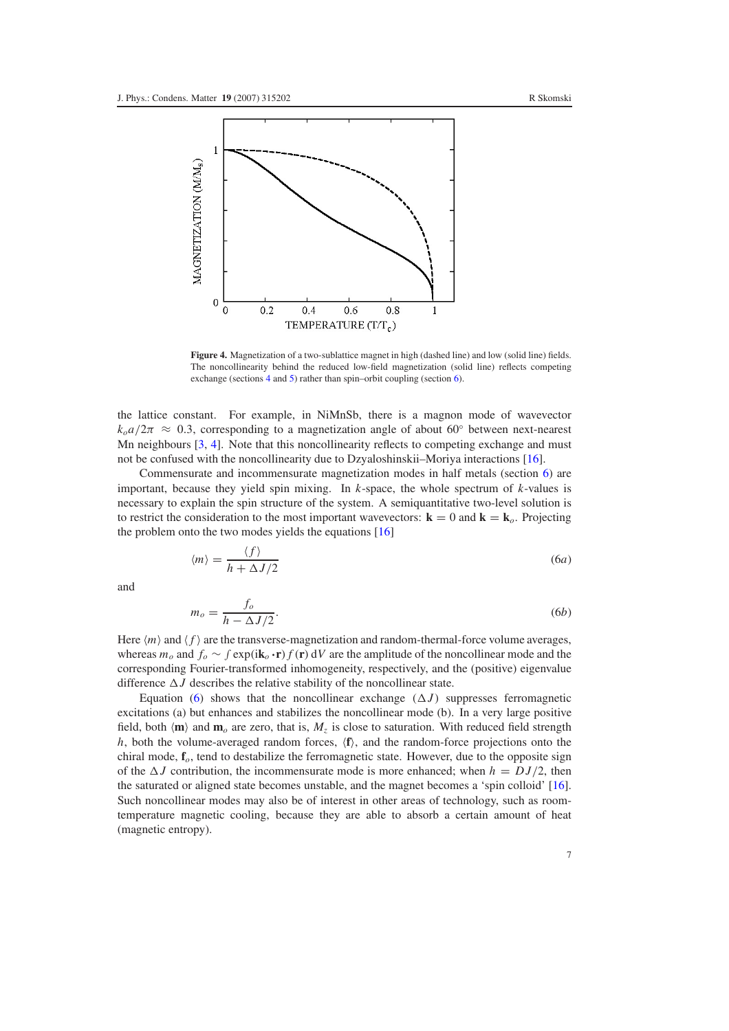<span id="page-7-0"></span>

**Figure 4.** Magnetization of a two-sublattice magnet in high (dashed line) and low (solid line) fields. The noncollinearity behind the reduced low-field magnetization (solid line) reflects competing exchange (sections [4](#page-6-0) and [5\)](#page-8-0) rather than spin–orbit coupling (section [6\)](#page-12-0).

the lattice constant. For example, in NiMnSb, there is a magnon mode of wavevector  $k_0a/2\pi \approx 0.3$ , corresponding to a magnetization angle of about 60° between next-nearest Mn neighbours [\[3,](#page-14-3) [4\]](#page-14-1). Note that this noncollinearity reflects to competing exchange and must not be confused with the noncollinearity due to Dzyaloshinskii–Moriya interactions [\[16\]](#page-14-13).

Commensurate and incommensurate magnetization modes in half metals (section [6\)](#page-12-0) are important, because they yield spin mixing. In *k*-space, the whole spectrum of *k*-values is necessary to explain the spin structure of the system. A semiquantitative two-level solution is to restrict the consideration to the most important wavevectors:  $\mathbf{k} = 0$  and  $\mathbf{k} = \mathbf{k}_o$ . Projecting the problem onto the two modes yields the equations [\[16\]](#page-14-13)

<span id="page-7-1"></span>
$$
\langle m \rangle = \frac{\langle f \rangle}{h + \Delta J/2} \tag{6a}
$$

and

$$
m_o = \frac{f_o}{h - \Delta J/2}.\tag{6b}
$$

Here  $\langle m \rangle$  and  $\langle f \rangle$  are the transverse-magnetization and random-thermal-force volume averages, whereas  $m_\rho$  and  $f_\rho \sim \int \exp(i\mathbf{k}_\rho \cdot \mathbf{r}) f(\mathbf{r}) dV$  are the amplitude of the noncollinear mode and the corresponding Fourier-transformed inhomogeneity, respectively, and the (positive) eigenvalue difference  $\Delta J$  describes the relative stability of the noncollinear state.

Equation  $(6)$  shows that the noncollinear exchange  $(\Delta J)$  suppresses ferromagnetic excitations (a) but enhances and stabilizes the noncollinear mode (b). In a very large positive field, both  $\langle \mathbf{m} \rangle$  and  $\mathbf{m}_o$  are zero, that is,  $M_z$  is close to saturation. With reduced field strength *h*, both the volume-averaged random forces,  $(f)$ , and the random-force projections onto the chiral mode, **f***o*, tend to destabilize the ferromagnetic state. However, due to the opposite sign of the  $\Delta J$  contribution, the incommensurate mode is more enhanced; when  $h = DJ/2$ , then the saturated or aligned state becomes unstable, and the magnet becomes a 'spin colloid' [\[16\]](#page-14-13). Such noncollinear modes may also be of interest in other areas of technology, such as roomtemperature magnetic cooling, because they are able to absorb a certain amount of heat (magnetic entropy).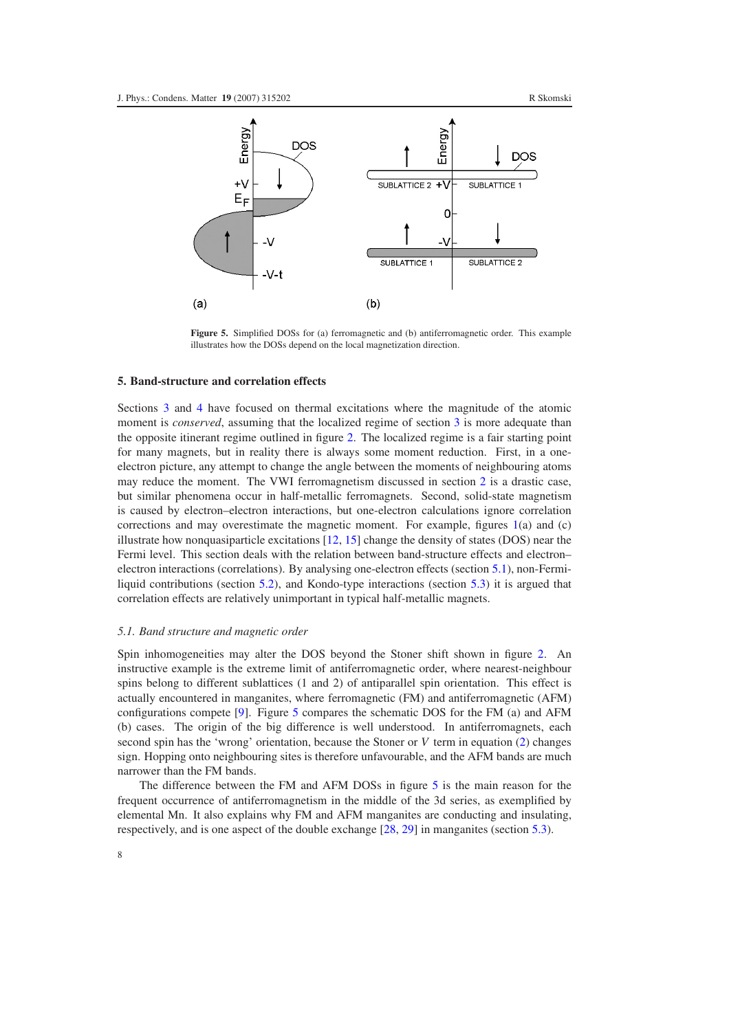<span id="page-8-2"></span>

**Figure 5.** Simplified DOSs for (a) ferromagnetic and (b) antiferromagnetic order. This example illustrates how the DOSs depend on the local magnetization direction.

# <span id="page-8-0"></span>**5. Band-structure and correlation effects**

Sections [3](#page-4-1) and [4](#page-6-0) have focused on thermal excitations where the magnitude of the atomic moment is *conserved*, assuming that the localized regime of section [3](#page-4-1) is more adequate than the opposite itinerant regime outlined in figure [2.](#page-3-0) The localized regime is a fair starting point for many magnets, but in reality there is always some moment reduction. First, in a oneelectron picture, any attempt to change the angle between the moments of neighbouring atoms may reduce the moment. The VWI ferromagnetism discussed in section [2](#page-2-1) is a drastic case, but similar phenomena occur in half-metallic ferromagnets. Second, solid-state magnetism is caused by electron–electron interactions, but one-electron calculations ignore correlation corrections and may overestimate the magnetic moment. For example, figures  $1(a)$  $1(a)$  and (c) illustrate how nonquasiparticle excitations [\[12,](#page-14-11) [15\]](#page-14-12) change the density of states (DOS) near the Fermi level. This section deals with the relation between band-structure effects and electron– electron interactions (correlations). By analysing one-electron effects (section [5.1\)](#page-8-1), non-Fermiliquid contributions (section [5.2\)](#page-10-1), and Kondo-type interactions (section [5.3\)](#page-10-0) it is argued that correlation effects are relatively unimportant in typical half-metallic magnets.

#### <span id="page-8-1"></span>*5.1. Band structure and magnetic order*

Spin inhomogeneities may alter the DOS beyond the Stoner shift shown in figure [2.](#page-3-0) An instructive example is the extreme limit of antiferromagnetic order, where nearest-neighbour spins belong to different sublattices (1 and 2) of antiparallel spin orientation. This effect is actually encountered in manganites, where ferromagnetic (FM) and antiferromagnetic (AFM) configurations compete [\[9\]](#page-14-8). Figure [5](#page-8-2) compares the schematic DOS for the FM (a) and AFM (b) cases. The origin of the big difference is well understood. In antiferromagnets, each second spin has the 'wrong' orientation, because the Stoner or *V* term in equation [\(2\)](#page-5-1) changes sign. Hopping onto neighbouring sites is therefore unfavourable, and the AFM bands are much narrower than the FM bands.

The difference between the FM and AFM DOSs in figure [5](#page-8-2) is the main reason for the frequent occurrence of antiferromagnetism in the middle of the 3d series, as exemplified by elemental Mn. It also explains why FM and AFM manganites are conducting and insulating, respectively, and is one aspect of the double exchange [\[28,](#page-14-22) [29\]](#page-14-23) in manganites (section [5.3\)](#page-10-0).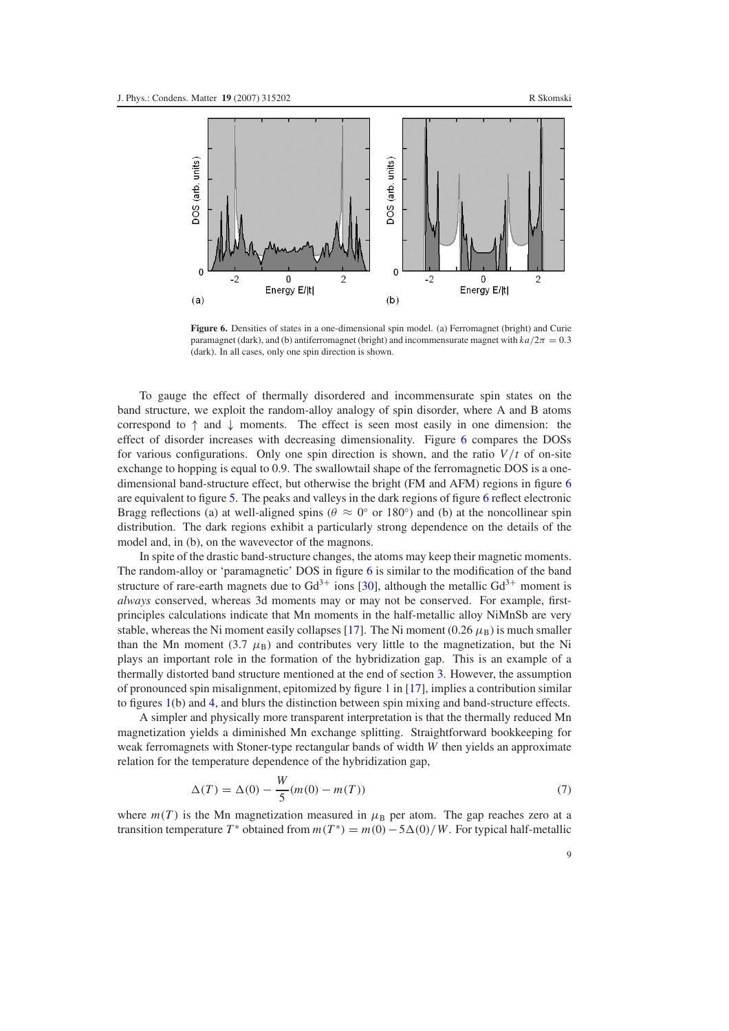<span id="page-9-0"></span>

Figure 6. Densities of states in a one-dimensional spin model. (a) Ferromagnet (bright) and Curie paramagnet (dark), and (b) antiferromagnet (bright) and incommensurate magnet with  $ka/2\pi = 0.3$ (dark). In all cases, only one spin direction is shown.

To gauge the effect of thermally disordered and incommensurate spin states on the band structure, we exploit the random-alloy analogy of spin disorder, where A and B atoms correspond to  $\uparrow$  and  $\downarrow$  moments. The effect is seen most easily in one dimension: the effect of disorder increases with decreasing dimensionality. Figure [6](#page-9-0) compares the DOSs for various configurations. Only one spin direction is shown, and the ratio  $V/t$  of on-site exchange to hopping is equal to 0.9. The swallowtail shape of the ferromagnetic DOS is a onedimensional band-structure effect, but otherwise the bright (FM and AFM) regions in figure [6](#page-9-0) are equivalent to figure [5.](#page-8-2) The peaks and valleys in the dark regions of figure [6](#page-9-0) reflect electronic Bragg reflections (a) at well-aligned spins ( $\theta \approx 0^{\circ}$  or 180 $^{\circ}$ ) and (b) at the noncollinear spin distribution. The dark regions exhibit a particularly strong dependence on the details of the model and, in (b), on the wavevector of the magnons.

In spite of the drastic band-structure changes, the atoms may keep their magnetic moments. The random-alloy or 'paramagnetic' DOS in figure [6](#page-9-0) is similar to the modification of the band structure of rare-earth magnets due to  $Gd^{3+}$  ions [\[30\]](#page-14-24), although the metallic  $Gd^{3+}$  moment is *always* conserved, whereas 3d moments may or may not be conserved. For example, firstprinciples calculations indicate that Mn moments in the half-metallic alloy NiMnSb are very stable, whereas the Ni moment easily collapses [\[17\]](#page-14-14). The Ni moment (0.26  $\mu_B$ ) is much smaller than the Mn moment (3.7  $\mu$ <sub>B</sub>) and contributes very little to the magnetization, but the Ni plays an important role in the formation of the hybridization gap. This is an example of a thermally distorted band structure mentioned at the end of section [3.](#page-4-1) However, the assumption of pronounced spin misalignment, epitomized by figure 1 in [\[17\]](#page-14-14), implies a contribution similar to figures [1\(](#page-2-0)b) and [4,](#page-7-0) and blurs the distinction between spin mixing and band-structure effects.

<span id="page-9-1"></span>A simpler and physically more transparent interpretation is that the thermally reduced Mn magnetization yields a diminished Mn exchange splitting. Straightforward bookkeeping for weak ferromagnets with Stoner-type rectangular bands of width *W* then yields an approximate relation for the temperature dependence of the hybridization gap,

$$
\Delta(T) = \Delta(0) - \frac{W}{5}(m(0) - m(T))
$$
\n(7)

where  $m(T)$  is the Mn magnetization measured in  $\mu_B$  per atom. The gap reaches zero at a transition temperature  $T^*$  obtained from  $m(T^*) = m(0) - 5\Delta(0)/W$ . For typical half-metallic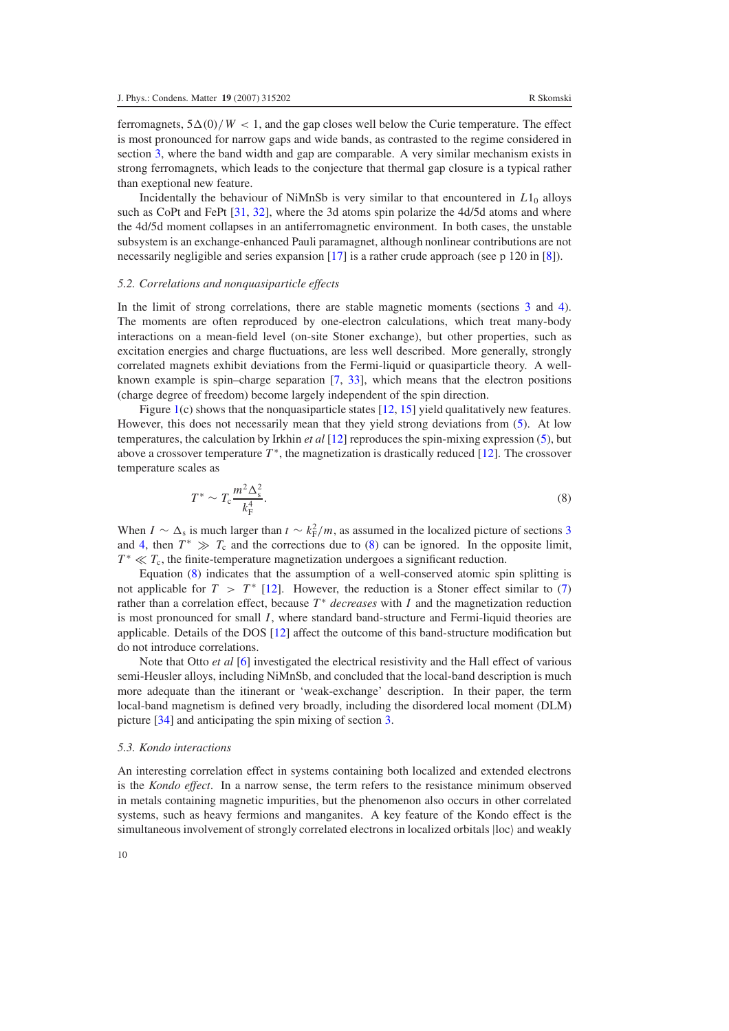ferromagnets,  $5\Delta(0)/W < 1$ , and the gap closes well below the Curie temperature. The effect is most pronounced for narrow gaps and wide bands, as contrasted to the regime considered in section [3,](#page-4-1) where the band width and gap are comparable. A very similar mechanism exists in strong ferromagnets, which leads to the conjecture that thermal gap closure is a typical rather than exeptional new feature.

<span id="page-10-1"></span>Incidentally the behaviour of NiMnSb is very similar to that encountered in *L*10 alloys such as CoPt and FePt [\[31,](#page-14-25) [32\]](#page-14-26), where the 3d atoms spin polarize the 4d/5d atoms and where the 4d/5d moment collapses in an antiferromagnetic environment. In both cases, the unstable subsystem is an exchange-enhanced Pauli paramagnet, although nonlinear contributions are not necessarily negligible and series expansion [\[17\]](#page-14-14) is a rather crude approach (see p 120 in [\[8\]](#page-14-6)).

#### *5.2. Correlations and nonquasiparticle effects*

In the limit of strong correlations, there are stable magnetic moments (sections [3](#page-4-1) and [4\)](#page-6-0). The moments are often reproduced by one-electron calculations, which treat many-body interactions on a mean-field level (on-site Stoner exchange), but other properties, such as excitation energies and charge fluctuations, are less well described. More generally, strongly correlated magnets exhibit deviations from the Fermi-liquid or quasiparticle theory. A wellknown example is spin–charge separation [\[7,](#page-14-5) [33\]](#page-14-27), which means that the electron positions (charge degree of freedom) become largely independent of the spin direction.

<span id="page-10-2"></span>Figure [1\(](#page-2-0)c) shows that the nonquasiparticle states [\[12,](#page-14-11) [15\]](#page-14-12) yield qualitatively new features. However, this does not necessarily mean that they yield strong deviations from [\(5\)](#page-5-3). At low temperatures, the calculation by Irkhin *et al* [\[12\]](#page-14-11) reproduces the spin-mixing expression [\(5\)](#page-5-3), but above a crossover temperature *T* <sup>∗</sup>, the magnetization is drastically reduced [\[12\]](#page-14-11). The crossover temperature scales as

$$
T^* \sim T_c \frac{m^2 \Delta_s^2}{k_{\rm F}^4}.
$$
\n<sup>(8)</sup>

When *I* ~  $\Delta_s$  is much larger than  $t \sim k_F^2/m$ , as assumed in the localized picture of sections [3](#page-4-1) and [4,](#page-6-0) then  $T^* \gg T_c$  and the corrections due to [\(8\)](#page-10-2) can be ignored. In the opposite limit,  $T^* \ll T_c$ , the finite-temperature magnetization undergoes a significant reduction.

Equation [\(8\)](#page-10-2) indicates that the assumption of a well-conserved atomic spin splitting is not applicable for  $T > T^*$  [\[12\]](#page-14-11). However, the reduction is a Stoner effect similar to [\(7\)](#page-9-1) rather than a correlation effect, because  $T^*$  *decreases* with *I* and the magnetization reduction is most pronounced for small *I*, where standard band-structure and Fermi-liquid theories are applicable. Details of the DOS [\[12\]](#page-14-11) affect the outcome of this band-structure modification but do not introduce correlations.

<span id="page-10-0"></span>Note that Otto *et al* [\[6\]](#page-14-4) investigated the electrical resistivity and the Hall effect of various semi-Heusler alloys, including NiMnSb, and concluded that the local-band description is much more adequate than the itinerant or 'weak-exchange' description. In their paper, the term local-band magnetism is defined very broadly, including the disordered local moment (DLM) picture [\[34\]](#page-14-27) and anticipating the spin mixing of section [3.](#page-4-1)

### *5.3. Kondo interactions*

An interesting correlation effect in systems containing both localized and extended electrons is the *Kondo effect*. In a narrow sense, the term refers to the resistance minimum observed in metals containing magnetic impurities, but the phenomenon also occurs in other correlated systems, such as heavy fermions and manganites. A key feature of the Kondo effect is the simultaneous involvement of strongly correlated electrons in localized orbitals  $|loc\rangle$  and weakly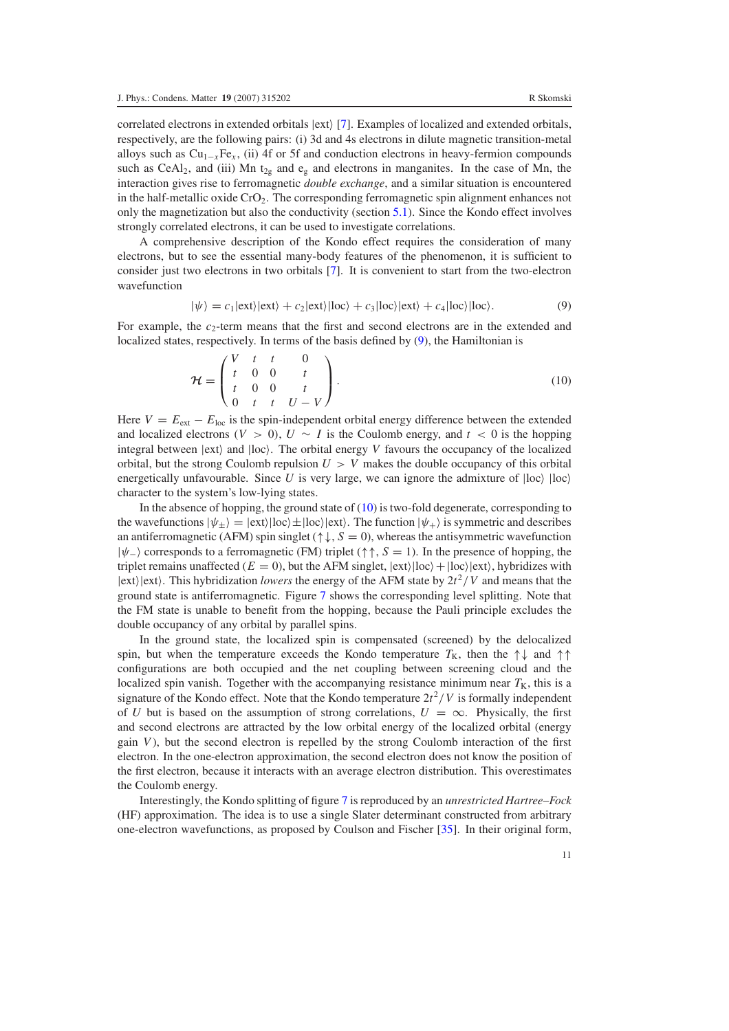correlated electrons in extended orbitals  $|ext\rangle$  [\[7\]](#page-14-5). Examples of localized and extended orbitals, respectively, are the following pairs: (i) 3d and 4s electrons in dilute magnetic transition-metal alloys such as Cu1<sup>−</sup>*x*Fe*<sup>x</sup>* , (ii) 4f or 5f and conduction electrons in heavy-fermion compounds such as CeAl<sub>2</sub>, and (iii) Mn t<sub>2g</sub> and e<sub>g</sub> and electrons in manganites. In the case of Mn, the interaction gives rise to ferromagnetic *double exchange*, and a similar situation is encountered in the half-metallic oxide  $CrO<sub>2</sub>$ . The corresponding ferromagnetic spin alignment enhances not only the magnetization but also the conductivity (section [5.1\)](#page-8-1). Since the Kondo effect involves strongly correlated electrons, it can be used to investigate correlations.

<span id="page-11-0"></span>A comprehensive description of the Kondo effect requires the consideration of many electrons, but to see the essential many-body features of the phenomenon, it is sufficient to consider just two electrons in two orbitals [\[7\]](#page-14-5). It is convenient to start from the two-electron wavefunction

<span id="page-11-1"></span>
$$
|\psi\rangle = c_1|\text{ext}\rangle|\text{ext}\rangle + c_2|\text{ext}\rangle|\text{loc}\rangle + c_3|\text{loc}\rangle|\text{ext}\rangle + c_4|\text{loc}\rangle|\text{loc}\rangle. \tag{9}
$$

For example, the  $c_2$ -term means that the first and second electrons are in the extended and localized states, respectively. In terms of the basis defined by [\(9\)](#page-11-0), the Hamiltonian is

$$
\mathcal{H} = \begin{pmatrix} V & t & t & 0 \\ t & 0 & 0 & t \\ t & 0 & 0 & t \\ 0 & t & t & U - V \end{pmatrix}.
$$
 (10)

Here  $V = E_{ext} - E_{loc}$  is the spin-independent orbital energy difference between the extended and localized electrons ( $V > 0$ ),  $U \sim I$  is the Coulomb energy, and  $t < 0$  is the hopping integral between  $|ext\rangle$  and  $|loc\rangle$ . The orbital energy *V* favours the occupancy of the localized orbital, but the strong Coulomb repulsion  $U > V$  makes the double occupancy of this orbital energetically unfavourable. Since U is very large, we can ignore the admixture of  $|loc \rangle$   $|loc \rangle$ character to the system's low-lying states.

In the absence of hopping, the ground state of [\(10\)](#page-11-1) is two-fold degenerate, corresponding to the wavefunctions  $|\psi_{+}\rangle=|\text{ext}\rangle|loc\rangle\pm|loc\rangle|\text{ext}\rangle$ . The function  $|\psi_{+}\rangle$  is symmetric and describes an antiferromagnetic (AFM) spin singlet ( $\uparrow \downarrow$ , *S* = 0), whereas the antisymmetric wavefunction |ψ− corresponds to a ferromagnetic (FM) triplet (↑↑, *S* = 1). In the presence of hopping, the triplet remains unaffected ( $E = 0$ ), but the AFM singlet,  $|ext\rangle |loc\rangle + |loc\rangle |ext\rangle$ , hybridizes with  $|ext\rangle$  ext). This hybridization *lowers* the energy of the AFM state by  $2t^2/V$  and means that the ground state is antiferromagnetic. Figure [7](#page-12-1) shows the corresponding level splitting. Note that the FM state is unable to benefit from the hopping, because the Pauli principle excludes the double occupancy of any orbital by parallel spins.

In the ground state, the localized spin is compensated (screened) by the delocalized spin, but when the temperature exceeds the Kondo temperature  $T<sub>K</sub>$ , then the  $\uparrow \downarrow$  and  $\uparrow \uparrow$ configurations are both occupied and the net coupling between screening cloud and the localized spin vanish. Together with the accompanying resistance minimum near  $T<sub>K</sub>$ , this is a signature of the Kondo effect. Note that the Kondo temperature  $2t^2/V$  is formally independent of *U* but is based on the assumption of strong correlations,  $U = \infty$ . Physically, the first and second electrons are attracted by the low orbital energy of the localized orbital (energy gain *V* ), but the second electron is repelled by the strong Coulomb interaction of the first electron. In the one-electron approximation, the second electron does not know the position of the first electron, because it interacts with an average electron distribution. This overestimates the Coulomb energy.

Interestingly, the Kondo splitting of figure [7](#page-12-1) is reproduced by an *unrestricted Hartree–Fock* (HF) approximation. The idea is to use a single Slater determinant constructed from arbitrary one-electron wavefunctions, as proposed by Coulson and Fischer [\[35\]](#page-14-28). In their original form,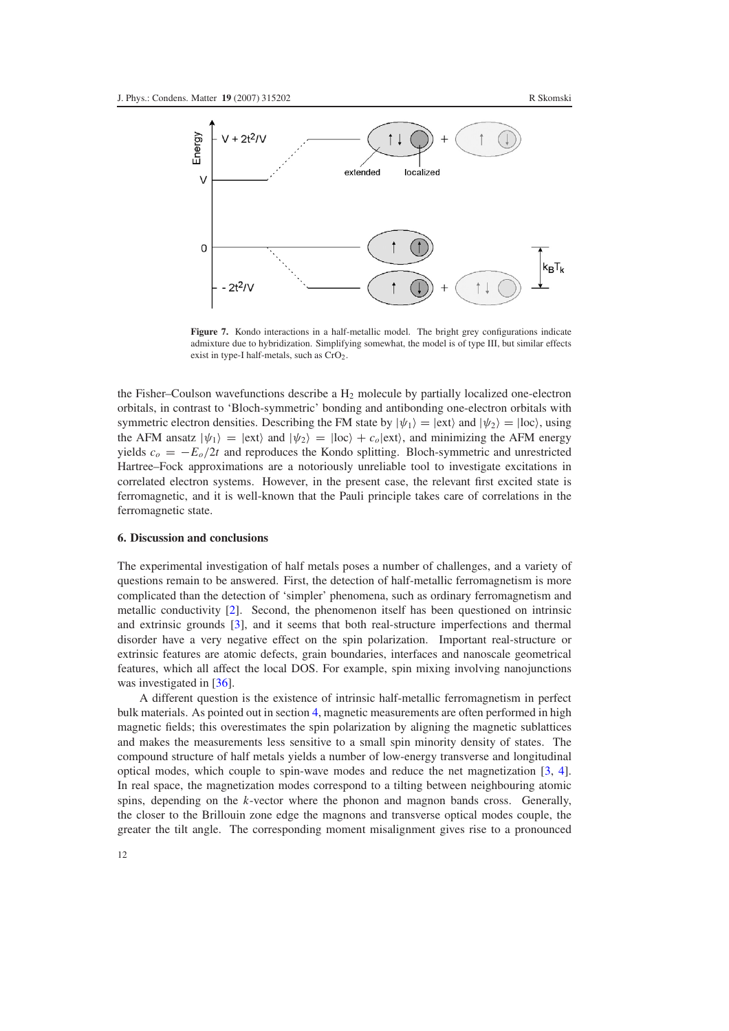<span id="page-12-1"></span>

**Figure 7.** Kondo interactions in a half-metallic model. The bright grey configurations indicate admixture due to hybridization. Simplifying somewhat, the model is of type III, but similar effects exist in type-I half-metals, such as CrO<sub>2</sub>.

<span id="page-12-0"></span>the Fisher–Coulson wavefunctions describe a  $H_2$  molecule by partially localized one-electron orbitals, in contrast to 'Bloch-symmetric' bonding and antibonding one-electron orbitals with symmetric electron densities. Describing the FM state by  $|\psi_1\rangle = |$ ext $\rangle$  and  $|\psi_2\rangle = |$ loc $\rangle$ , using the AFM ansatz  $|\psi_1\rangle = |\text{ext}\rangle$  and  $|\psi_2\rangle = |\text{loc}\rangle + c_o |\text{ext}\rangle$ , and minimizing the AFM energy yields  $c<sub>o</sub> = -E<sub>o</sub>/2t$  and reproduces the Kondo splitting. Bloch-symmetric and unrestricted Hartree–Fock approximations are a notoriously unreliable tool to investigate excitations in correlated electron systems. However, in the present case, the relevant first excited state is ferromagnetic, and it is well-known that the Pauli principle takes care of correlations in the ferromagnetic state.

#### **6. Discussion and conclusions**

The experimental investigation of half metals poses a number of challenges, and a variety of questions remain to be answered. First, the detection of half-metallic ferromagnetism is more complicated than the detection of 'simpler' phenomena, such as ordinary ferromagnetism and metallic conductivity [\[2\]](#page-14-7). Second, the phenomenon itself has been questioned on intrinsic and extrinsic grounds [\[3\]](#page-14-3), and it seems that both real-structure imperfections and thermal disorder have a very negative effect on the spin polarization. Important real-structure or extrinsic features are atomic defects, grain boundaries, interfaces and nanoscale geometrical features, which all affect the local DOS. For example, spin mixing involving nanojunctions was investigated in [\[36\]](#page-14-29).

A different question is the existence of intrinsic half-metallic ferromagnetism in perfect bulk materials. As pointed out in section [4,](#page-6-0) magnetic measurements are often performed in high magnetic fields; this overestimates the spin polarization by aligning the magnetic sublattices and makes the measurements less sensitive to a small spin minority density of states. The compound structure of half metals yields a number of low-energy transverse and longitudinal optical modes, which couple to spin-wave modes and reduce the net magnetization [\[3,](#page-14-3) [4\]](#page-14-1). In real space, the magnetization modes correspond to a tilting between neighbouring atomic spins, depending on the *k*-vector where the phonon and magnon bands cross. Generally, the closer to the Brillouin zone edge the magnons and transverse optical modes couple, the greater the tilt angle. The corresponding moment misalignment gives rise to a pronounced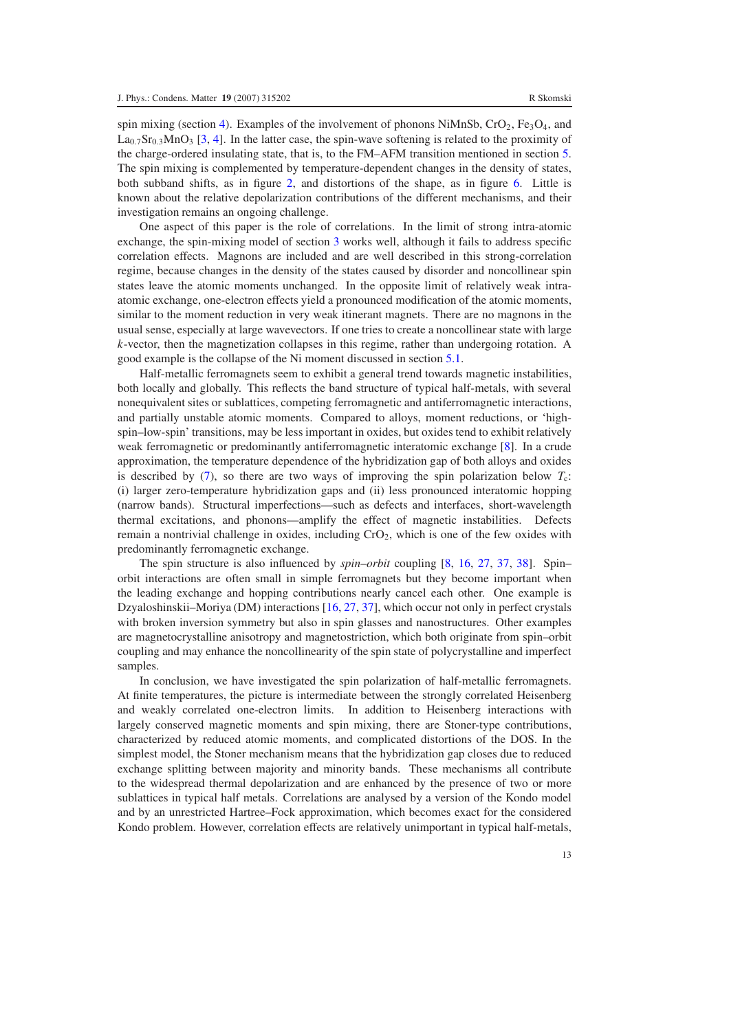spin mixing (section [4\)](#page-6-0). Examples of the involvement of phonons NiMnSb,  $CrO<sub>2</sub>$ , Fe<sub>3</sub>O<sub>4</sub>, and  $La<sub>0.7</sub>Sr<sub>0.3</sub>MnO<sub>3</sub> [3, 4]$  $La<sub>0.7</sub>Sr<sub>0.3</sub>MnO<sub>3</sub> [3, 4]$  $La<sub>0.7</sub>Sr<sub>0.3</sub>MnO<sub>3</sub> [3, 4]$  $La<sub>0.7</sub>Sr<sub>0.3</sub>MnO<sub>3</sub> [3, 4]$ . In the latter case, the spin-wave softening is related to the proximity of the charge-ordered insulating state, that is, to the FM–AFM transition mentioned in section [5.](#page-8-0) The spin mixing is complemented by temperature-dependent changes in the density of states, both subband shifts, as in figure [2,](#page-3-0) and distortions of the shape, as in figure [6.](#page-9-0) Little is known about the relative depolarization contributions of the different mechanisms, and their investigation remains an ongoing challenge.

One aspect of this paper is the role of correlations. In the limit of strong intra-atomic exchange, the spin-mixing model of section [3](#page-4-1) works well, although it fails to address specific correlation effects. Magnons are included and are well described in this strong-correlation regime, because changes in the density of the states caused by disorder and noncollinear spin states leave the atomic moments unchanged. In the opposite limit of relatively weak intraatomic exchange, one-electron effects yield a pronounced modification of the atomic moments, similar to the moment reduction in very weak itinerant magnets. There are no magnons in the usual sense, especially at large wavevectors. If one tries to create a noncollinear state with large *k*-vector, then the magnetization collapses in this regime, rather than undergoing rotation. A good example is the collapse of the Ni moment discussed in section [5.1.](#page-8-1)

Half-metallic ferromagnets seem to exhibit a general trend towards magnetic instabilities, both locally and globally. This reflects the band structure of typical half-metals, with several nonequivalent sites or sublattices, competing ferromagnetic and antiferromagnetic interactions, and partially unstable atomic moments. Compared to alloys, moment reductions, or 'highspin–low-spin' transitions, may be less important in oxides, but oxides tend to exhibit relatively weak ferromagnetic or predominantly antiferromagnetic interatomic exchange [\[8\]](#page-14-6). In a crude approximation, the temperature dependence of the hybridization gap of both alloys and oxides is described by  $(7)$ , so there are two ways of improving the spin polarization below  $T_c$ : (i) larger zero-temperature hybridization gaps and (ii) less pronounced interatomic hopping (narrow bands). Structural imperfections—such as defects and interfaces, short-wavelength thermal excitations, and phonons—amplify the effect of magnetic instabilities. Defects remain a nontrivial challenge in oxides, including CrO<sub>2</sub>, which is one of the few oxides with predominantly ferromagnetic exchange.

The spin structure is also influenced by *spin–orbit* coupling [\[8,](#page-14-6) [16,](#page-14-13) [27,](#page-14-21) [37,](#page-14-30) [38\]](#page-14-31). Spin– orbit interactions are often small in simple ferromagnets but they become important when the leading exchange and hopping contributions nearly cancel each other. One example is Dzyaloshinskii–Moriya (DM) interactions [\[16,](#page-14-13) [27,](#page-14-21) [37\]](#page-14-30), which occur not only in perfect crystals with broken inversion symmetry but also in spin glasses and nanostructures. Other examples are magnetocrystalline anisotropy and magnetostriction, which both originate from spin–orbit coupling and may enhance the noncollinearity of the spin state of polycrystalline and imperfect samples.

In conclusion, we have investigated the spin polarization of half-metallic ferromagnets. At finite temperatures, the picture is intermediate between the strongly correlated Heisenberg and weakly correlated one-electron limits. In addition to Heisenberg interactions with largely conserved magnetic moments and spin mixing, there are Stoner-type contributions, characterized by reduced atomic moments, and complicated distortions of the DOS. In the simplest model, the Stoner mechanism means that the hybridization gap closes due to reduced exchange splitting between majority and minority bands. These mechanisms all contribute to the widespread thermal depolarization and are enhanced by the presence of two or more sublattices in typical half metals. Correlations are analysed by a version of the Kondo model and by an unrestricted Hartree–Fock approximation, which becomes exact for the considered Kondo problem. However, correlation effects are relatively unimportant in typical half-metals,